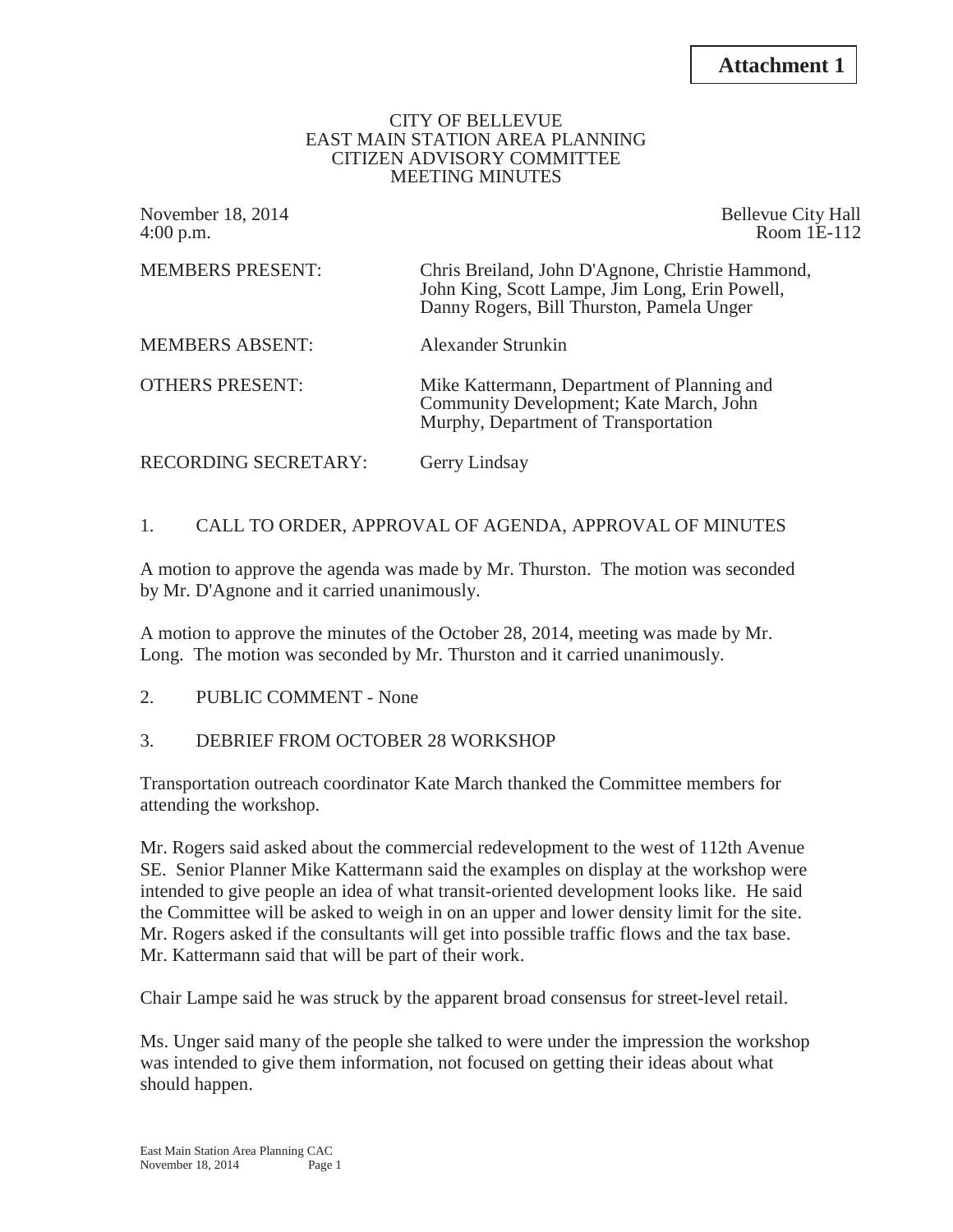#### CITY OF BELLEVUE EAST MAIN STATION AREA PLANNING CITIZEN ADVISORY COMMITTEE MEETING MINUTES

| November 18, 2014<br>4:00 p.m. | <b>Bellevue City Hall</b><br>Room 1E-112                                                                                                        |
|--------------------------------|-------------------------------------------------------------------------------------------------------------------------------------------------|
| <b>MEMBERS PRESENT:</b>        | Chris Breiland, John D'Agnone, Christie Hammond,<br>John King, Scott Lampe, Jim Long, Erin Powell,<br>Danny Rogers, Bill Thurston, Pamela Unger |
| <b>MEMBERS ABSENT:</b>         | Alexander Strunkin                                                                                                                              |
| <b>OTHERS PRESENT:</b>         | Mike Kattermann, Department of Planning and<br>Community Development; Kate March, John<br>Murphy, Department of Transportation                  |
| RECORDING SECRETARY:           | Gerry Lindsay                                                                                                                                   |

# 1. CALL TO ORDER, APPROVAL OF AGENDA, APPROVAL OF MINUTES

A motion to approve the agenda was made by Mr. Thurston. The motion was seconded by Mr. D'Agnone and it carried unanimously.

A motion to approve the minutes of the October 28, 2014, meeting was made by Mr. Long. The motion was seconded by Mr. Thurston and it carried unanimously.

2. PUBLIC COMMENT - None

## 3. DEBRIEF FROM OCTOBER 28 WORKSHOP

Transportation outreach coordinator Kate March thanked the Committee members for attending the workshop.

Mr. Rogers said asked about the commercial redevelopment to the west of 112th Avenue SE. Senior Planner Mike Kattermann said the examples on display at the workshop were intended to give people an idea of what transit-oriented development looks like. He said the Committee will be asked to weigh in on an upper and lower density limit for the site. Mr. Rogers asked if the consultants will get into possible traffic flows and the tax base. Mr. Kattermann said that will be part of their work.

Chair Lampe said he was struck by the apparent broad consensus for street-level retail.

Ms. Unger said many of the people she talked to were under the impression the workshop was intended to give them information, not focused on getting their ideas about what should happen.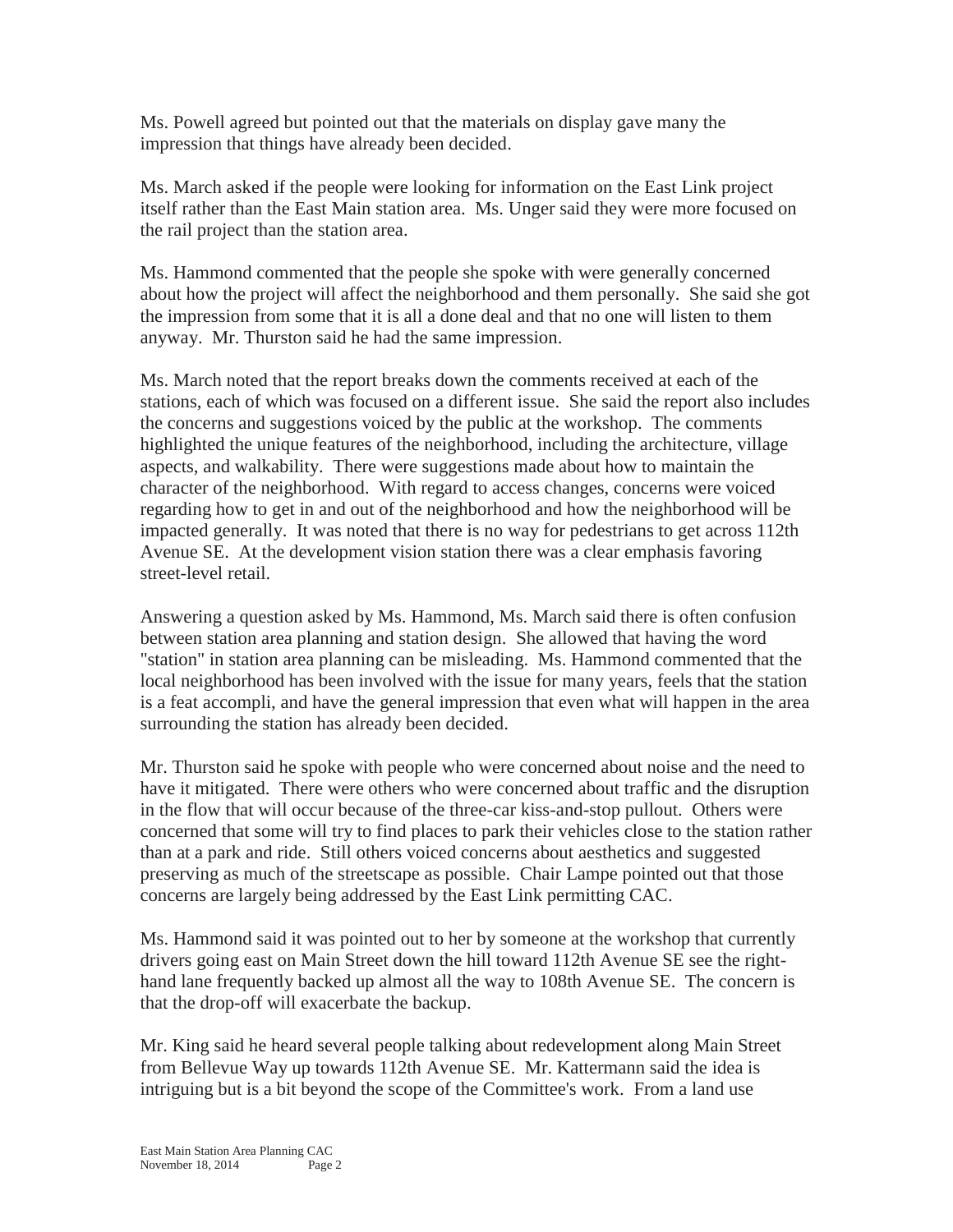Ms. Powell agreed but pointed out that the materials on display gave many the impression that things have already been decided.

Ms. March asked if the people were looking for information on the East Link project itself rather than the East Main station area. Ms. Unger said they were more focused on the rail project than the station area.

Ms. Hammond commented that the people she spoke with were generally concerned about how the project will affect the neighborhood and them personally. She said she got the impression from some that it is all a done deal and that no one will listen to them anyway. Mr. Thurston said he had the same impression.

Ms. March noted that the report breaks down the comments received at each of the stations, each of which was focused on a different issue. She said the report also includes the concerns and suggestions voiced by the public at the workshop. The comments highlighted the unique features of the neighborhood, including the architecture, village aspects, and walkability. There were suggestions made about how to maintain the character of the neighborhood. With regard to access changes, concerns were voiced regarding how to get in and out of the neighborhood and how the neighborhood will be impacted generally. It was noted that there is no way for pedestrians to get across 112th Avenue SE. At the development vision station there was a clear emphasis favoring street-level retail.

Answering a question asked by Ms. Hammond, Ms. March said there is often confusion between station area planning and station design. She allowed that having the word "station" in station area planning can be misleading. Ms. Hammond commented that the local neighborhood has been involved with the issue for many years, feels that the station is a feat accompli, and have the general impression that even what will happen in the area surrounding the station has already been decided.

Mr. Thurston said he spoke with people who were concerned about noise and the need to have it mitigated. There were others who were concerned about traffic and the disruption in the flow that will occur because of the three-car kiss-and-stop pullout. Others were concerned that some will try to find places to park their vehicles close to the station rather than at a park and ride. Still others voiced concerns about aesthetics and suggested preserving as much of the streetscape as possible. Chair Lampe pointed out that those concerns are largely being addressed by the East Link permitting CAC.

Ms. Hammond said it was pointed out to her by someone at the workshop that currently drivers going east on Main Street down the hill toward 112th Avenue SE see the righthand lane frequently backed up almost all the way to 108th Avenue SE. The concern is that the drop-off will exacerbate the backup.

Mr. King said he heard several people talking about redevelopment along Main Street from Bellevue Way up towards 112th Avenue SE. Mr. Kattermann said the idea is intriguing but is a bit beyond the scope of the Committee's work. From a land use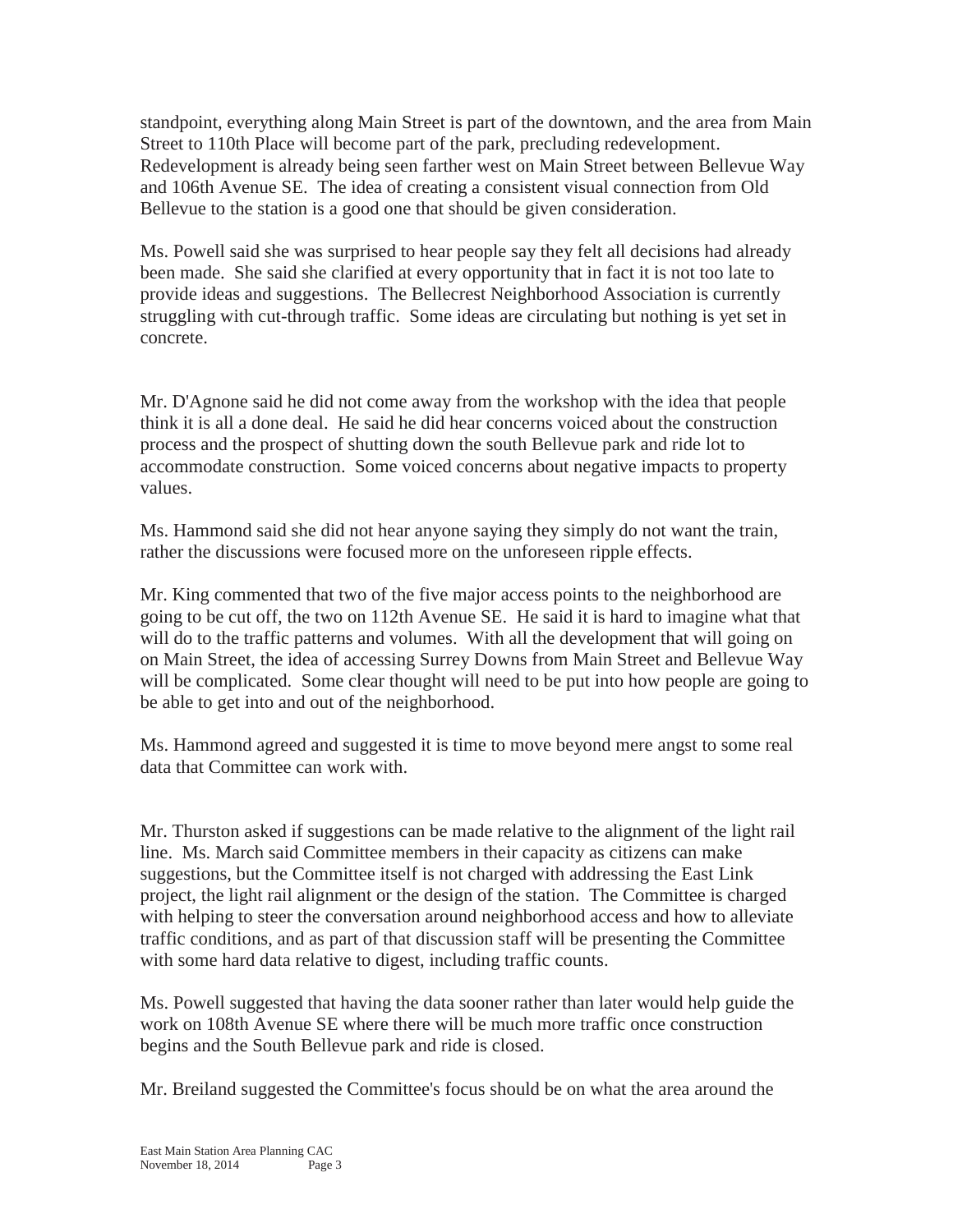standpoint, everything along Main Street is part of the downtown, and the area from Main Street to 110th Place will become part of the park, precluding redevelopment. Redevelopment is already being seen farther west on Main Street between Bellevue Way and 106th Avenue SE. The idea of creating a consistent visual connection from Old Bellevue to the station is a good one that should be given consideration.

Ms. Powell said she was surprised to hear people say they felt all decisions had already been made. She said she clarified at every opportunity that in fact it is not too late to provide ideas and suggestions. The Bellecrest Neighborhood Association is currently struggling with cut-through traffic. Some ideas are circulating but nothing is yet set in concrete.

Mr. D'Agnone said he did not come away from the workshop with the idea that people think it is all a done deal. He said he did hear concerns voiced about the construction process and the prospect of shutting down the south Bellevue park and ride lot to accommodate construction. Some voiced concerns about negative impacts to property values.

Ms. Hammond said she did not hear anyone saying they simply do not want the train, rather the discussions were focused more on the unforeseen ripple effects.

Mr. King commented that two of the five major access points to the neighborhood are going to be cut off, the two on 112th Avenue SE. He said it is hard to imagine what that will do to the traffic patterns and volumes. With all the development that will going on on Main Street, the idea of accessing Surrey Downs from Main Street and Bellevue Way will be complicated. Some clear thought will need to be put into how people are going to be able to get into and out of the neighborhood.

Ms. Hammond agreed and suggested it is time to move beyond mere angst to some real data that Committee can work with.

Mr. Thurston asked if suggestions can be made relative to the alignment of the light rail line. Ms. March said Committee members in their capacity as citizens can make suggestions, but the Committee itself is not charged with addressing the East Link project, the light rail alignment or the design of the station. The Committee is charged with helping to steer the conversation around neighborhood access and how to alleviate traffic conditions, and as part of that discussion staff will be presenting the Committee with some hard data relative to digest, including traffic counts.

Ms. Powell suggested that having the data sooner rather than later would help guide the work on 108th Avenue SE where there will be much more traffic once construction begins and the South Bellevue park and ride is closed.

Mr. Breiland suggested the Committee's focus should be on what the area around the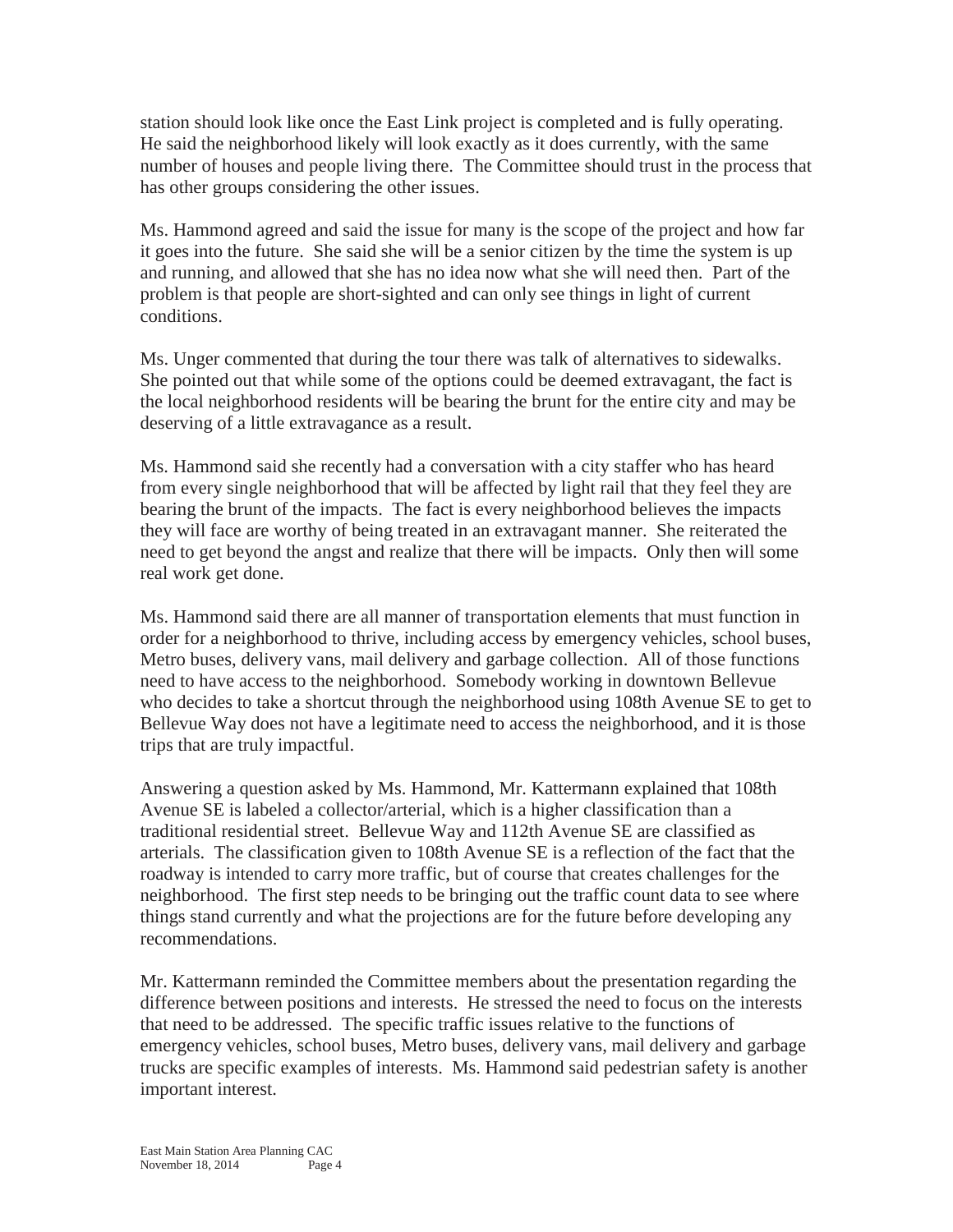station should look like once the East Link project is completed and is fully operating. He said the neighborhood likely will look exactly as it does currently, with the same number of houses and people living there. The Committee should trust in the process that has other groups considering the other issues.

Ms. Hammond agreed and said the issue for many is the scope of the project and how far it goes into the future. She said she will be a senior citizen by the time the system is up and running, and allowed that she has no idea now what she will need then. Part of the problem is that people are short-sighted and can only see things in light of current conditions.

Ms. Unger commented that during the tour there was talk of alternatives to sidewalks. She pointed out that while some of the options could be deemed extravagant, the fact is the local neighborhood residents will be bearing the brunt for the entire city and may be deserving of a little extravagance as a result.

Ms. Hammond said she recently had a conversation with a city staffer who has heard from every single neighborhood that will be affected by light rail that they feel they are bearing the brunt of the impacts. The fact is every neighborhood believes the impacts they will face are worthy of being treated in an extravagant manner. She reiterated the need to get beyond the angst and realize that there will be impacts. Only then will some real work get done.

Ms. Hammond said there are all manner of transportation elements that must function in order for a neighborhood to thrive, including access by emergency vehicles, school buses, Metro buses, delivery vans, mail delivery and garbage collection. All of those functions need to have access to the neighborhood. Somebody working in downtown Bellevue who decides to take a shortcut through the neighborhood using 108th Avenue SE to get to Bellevue Way does not have a legitimate need to access the neighborhood, and it is those trips that are truly impactful.

Answering a question asked by Ms. Hammond, Mr. Kattermann explained that 108th Avenue SE is labeled a collector/arterial, which is a higher classification than a traditional residential street. Bellevue Way and 112th Avenue SE are classified as arterials. The classification given to 108th Avenue SE is a reflection of the fact that the roadway is intended to carry more traffic, but of course that creates challenges for the neighborhood. The first step needs to be bringing out the traffic count data to see where things stand currently and what the projections are for the future before developing any recommendations.

Mr. Kattermann reminded the Committee members about the presentation regarding the difference between positions and interests. He stressed the need to focus on the interests that need to be addressed. The specific traffic issues relative to the functions of emergency vehicles, school buses, Metro buses, delivery vans, mail delivery and garbage trucks are specific examples of interests. Ms. Hammond said pedestrian safety is another important interest.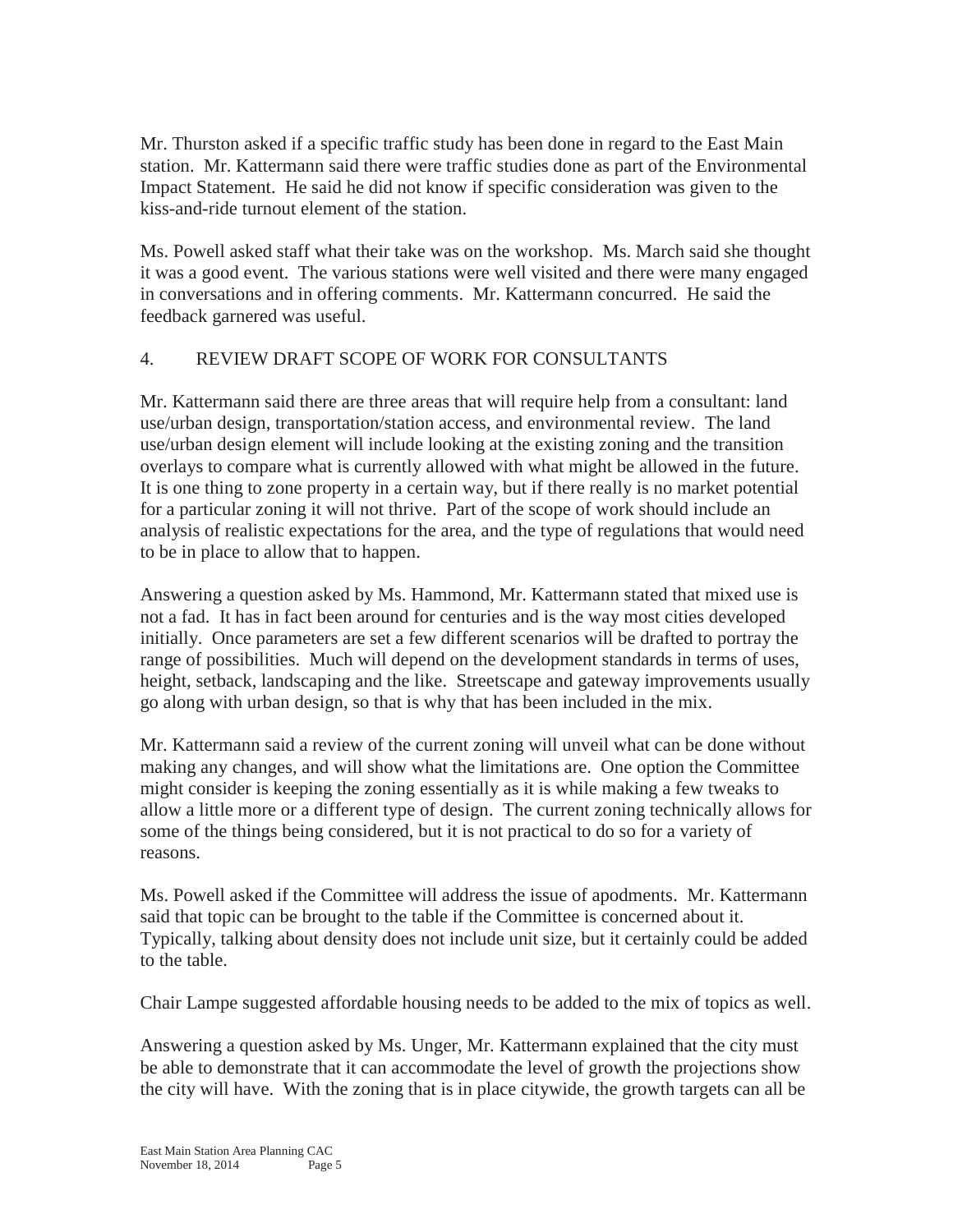Mr. Thurston asked if a specific traffic study has been done in regard to the East Main station. Mr. Kattermann said there were traffic studies done as part of the Environmental Impact Statement. He said he did not know if specific consideration was given to the kiss-and-ride turnout element of the station.

Ms. Powell asked staff what their take was on the workshop. Ms. March said she thought it was a good event. The various stations were well visited and there were many engaged in conversations and in offering comments. Mr. Kattermann concurred. He said the feedback garnered was useful.

# 4. REVIEW DRAFT SCOPE OF WORK FOR CONSULTANTS

Mr. Kattermann said there are three areas that will require help from a consultant: land use/urban design, transportation/station access, and environmental review. The land use/urban design element will include looking at the existing zoning and the transition overlays to compare what is currently allowed with what might be allowed in the future. It is one thing to zone property in a certain way, but if there really is no market potential for a particular zoning it will not thrive. Part of the scope of work should include an analysis of realistic expectations for the area, and the type of regulations that would need to be in place to allow that to happen.

Answering a question asked by Ms. Hammond, Mr. Kattermann stated that mixed use is not a fad. It has in fact been around for centuries and is the way most cities developed initially. Once parameters are set a few different scenarios will be drafted to portray the range of possibilities. Much will depend on the development standards in terms of uses, height, setback, landscaping and the like. Streetscape and gateway improvements usually go along with urban design, so that is why that has been included in the mix.

Mr. Kattermann said a review of the current zoning will unveil what can be done without making any changes, and will show what the limitations are. One option the Committee might consider is keeping the zoning essentially as it is while making a few tweaks to allow a little more or a different type of design. The current zoning technically allows for some of the things being considered, but it is not practical to do so for a variety of reasons.

Ms. Powell asked if the Committee will address the issue of apodments. Mr. Kattermann said that topic can be brought to the table if the Committee is concerned about it. Typically, talking about density does not include unit size, but it certainly could be added to the table.

Chair Lampe suggested affordable housing needs to be added to the mix of topics as well.

Answering a question asked by Ms. Unger, Mr. Kattermann explained that the city must be able to demonstrate that it can accommodate the level of growth the projections show the city will have. With the zoning that is in place citywide, the growth targets can all be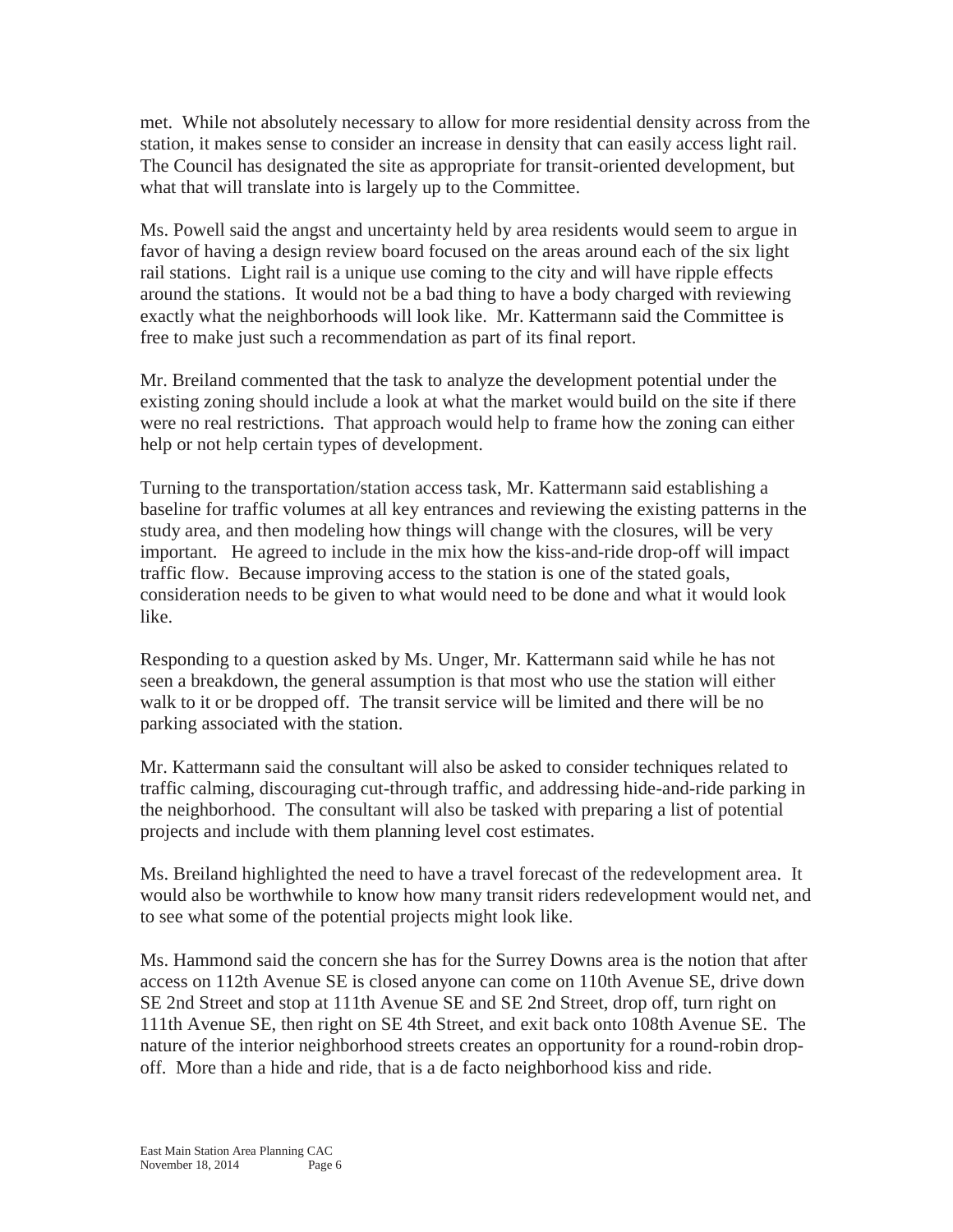met. While not absolutely necessary to allow for more residential density across from the station, it makes sense to consider an increase in density that can easily access light rail. The Council has designated the site as appropriate for transit-oriented development, but what that will translate into is largely up to the Committee.

Ms. Powell said the angst and uncertainty held by area residents would seem to argue in favor of having a design review board focused on the areas around each of the six light rail stations. Light rail is a unique use coming to the city and will have ripple effects around the stations. It would not be a bad thing to have a body charged with reviewing exactly what the neighborhoods will look like. Mr. Kattermann said the Committee is free to make just such a recommendation as part of its final report.

Mr. Breiland commented that the task to analyze the development potential under the existing zoning should include a look at what the market would build on the site if there were no real restrictions. That approach would help to frame how the zoning can either help or not help certain types of development.

Turning to the transportation/station access task, Mr. Kattermann said establishing a baseline for traffic volumes at all key entrances and reviewing the existing patterns in the study area, and then modeling how things will change with the closures, will be very important. He agreed to include in the mix how the kiss-and-ride drop-off will impact traffic flow. Because improving access to the station is one of the stated goals, consideration needs to be given to what would need to be done and what it would look like.

Responding to a question asked by Ms. Unger, Mr. Kattermann said while he has not seen a breakdown, the general assumption is that most who use the station will either walk to it or be dropped off. The transit service will be limited and there will be no parking associated with the station.

Mr. Kattermann said the consultant will also be asked to consider techniques related to traffic calming, discouraging cut-through traffic, and addressing hide-and-ride parking in the neighborhood. The consultant will also be tasked with preparing a list of potential projects and include with them planning level cost estimates.

Ms. Breiland highlighted the need to have a travel forecast of the redevelopment area. It would also be worthwhile to know how many transit riders redevelopment would net, and to see what some of the potential projects might look like.

Ms. Hammond said the concern she has for the Surrey Downs area is the notion that after access on 112th Avenue SE is closed anyone can come on 110th Avenue SE, drive down SE 2nd Street and stop at 111th Avenue SE and SE 2nd Street, drop off, turn right on 111th Avenue SE, then right on SE 4th Street, and exit back onto 108th Avenue SE. The nature of the interior neighborhood streets creates an opportunity for a round-robin dropoff. More than a hide and ride, that is a de facto neighborhood kiss and ride.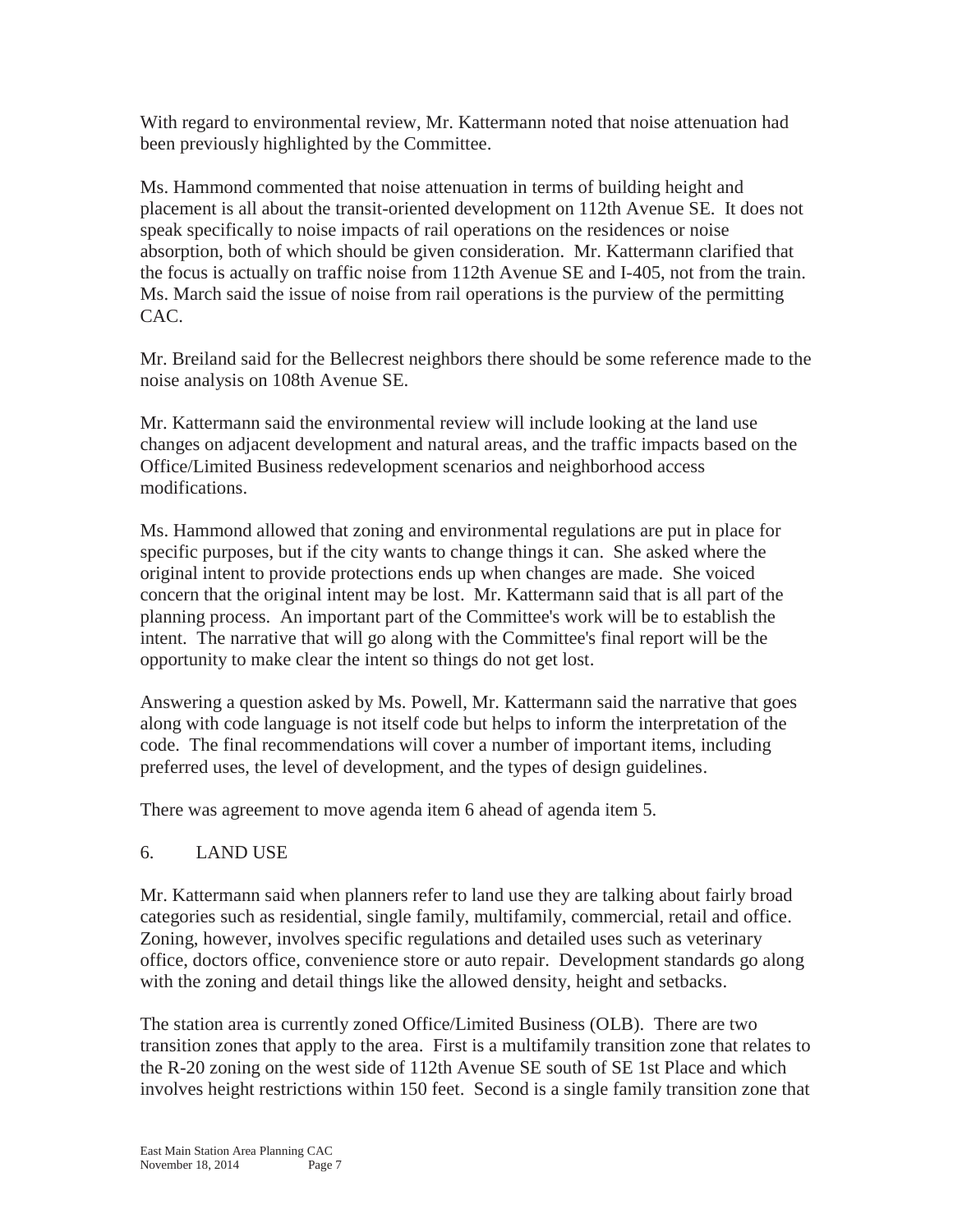With regard to environmental review, Mr. Kattermann noted that noise attenuation had been previously highlighted by the Committee.

Ms. Hammond commented that noise attenuation in terms of building height and placement is all about the transit-oriented development on 112th Avenue SE. It does not speak specifically to noise impacts of rail operations on the residences or noise absorption, both of which should be given consideration. Mr. Kattermann clarified that the focus is actually on traffic noise from 112th Avenue SE and I-405, not from the train. Ms. March said the issue of noise from rail operations is the purview of the permitting CAC.

Mr. Breiland said for the Bellecrest neighbors there should be some reference made to the noise analysis on 108th Avenue SE.

Mr. Kattermann said the environmental review will include looking at the land use changes on adjacent development and natural areas, and the traffic impacts based on the Office/Limited Business redevelopment scenarios and neighborhood access modifications.

Ms. Hammond allowed that zoning and environmental regulations are put in place for specific purposes, but if the city wants to change things it can. She asked where the original intent to provide protections ends up when changes are made. She voiced concern that the original intent may be lost. Mr. Kattermann said that is all part of the planning process. An important part of the Committee's work will be to establish the intent. The narrative that will go along with the Committee's final report will be the opportunity to make clear the intent so things do not get lost.

Answering a question asked by Ms. Powell, Mr. Kattermann said the narrative that goes along with code language is not itself code but helps to inform the interpretation of the code. The final recommendations will cover a number of important items, including preferred uses, the level of development, and the types of design guidelines.

There was agreement to move agenda item 6 ahead of agenda item 5.

# 6. LAND USE

Mr. Kattermann said when planners refer to land use they are talking about fairly broad categories such as residential, single family, multifamily, commercial, retail and office. Zoning, however, involves specific regulations and detailed uses such as veterinary office, doctors office, convenience store or auto repair. Development standards go along with the zoning and detail things like the allowed density, height and setbacks.

The station area is currently zoned Office/Limited Business (OLB). There are two transition zones that apply to the area. First is a multifamily transition zone that relates to the R-20 zoning on the west side of 112th Avenue SE south of SE 1st Place and which involves height restrictions within 150 feet. Second is a single family transition zone that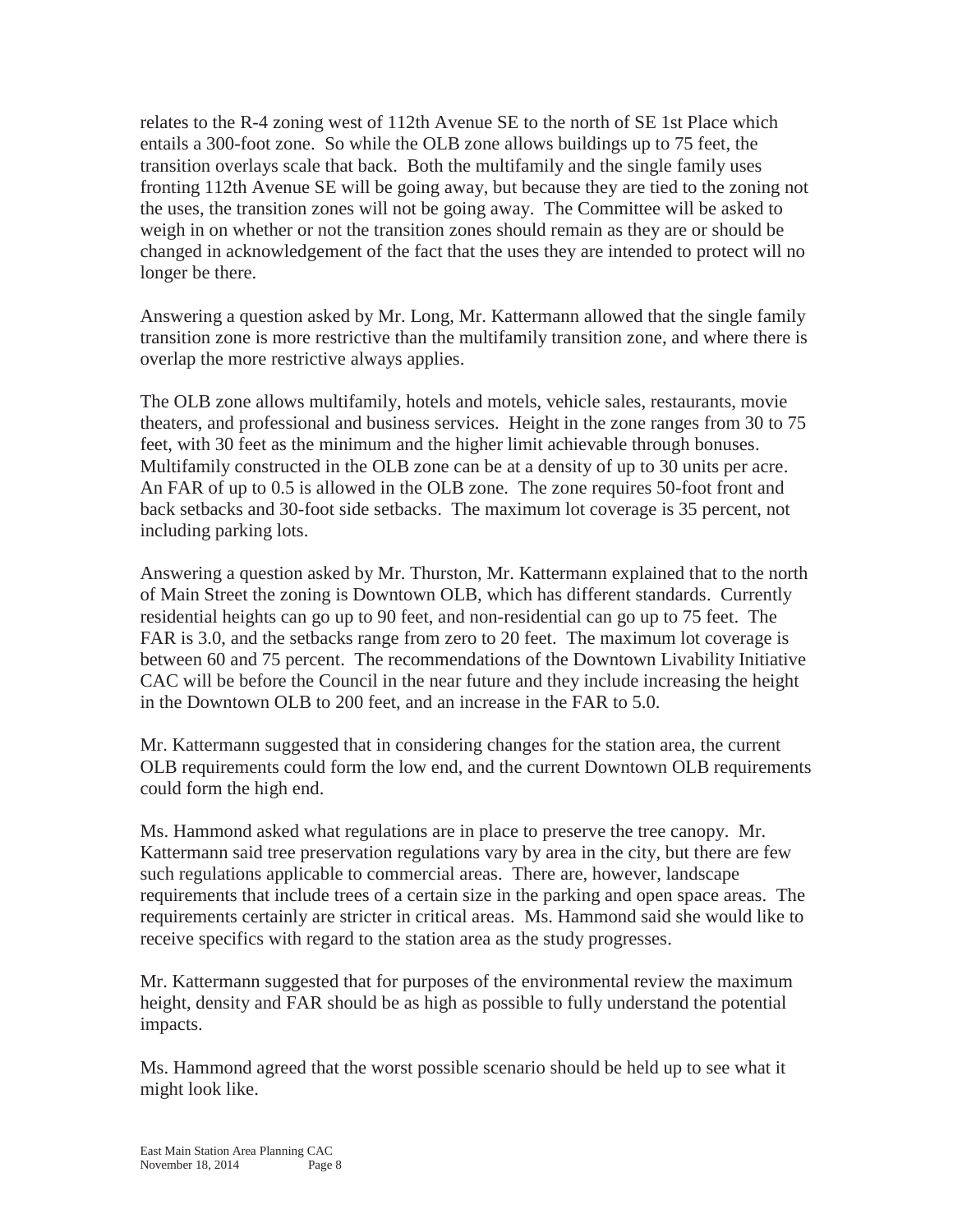relates to the R-4 zoning west of 112th Avenue SE to the north of SE 1st Place which entails a 300-foot zone. So while the OLB zone allows buildings up to 75 feet, the transition overlays scale that back. Both the multifamily and the single family uses fronting 112th Avenue SE will be going away, but because they are tied to the zoning not the uses, the transition zones will not be going away. The Committee will be asked to weigh in on whether or not the transition zones should remain as they are or should be changed in acknowledgement of the fact that the uses they are intended to protect will no longer be there.

Answering a question asked by Mr. Long, Mr. Kattermann allowed that the single family transition zone is more restrictive than the multifamily transition zone, and where there is overlap the more restrictive always applies.

The OLB zone allows multifamily, hotels and motels, vehicle sales, restaurants, movie theaters, and professional and business services. Height in the zone ranges from 30 to 75 feet, with 30 feet as the minimum and the higher limit achievable through bonuses. Multifamily constructed in the OLB zone can be at a density of up to 30 units per acre. An FAR of up to 0.5 is allowed in the OLB zone. The zone requires 50-foot front and back setbacks and 30-foot side setbacks. The maximum lot coverage is 35 percent, not including parking lots.

Answering a question asked by Mr. Thurston, Mr. Kattermann explained that to the north of Main Street the zoning is Downtown OLB, which has different standards. Currently residential heights can go up to 90 feet, and non-residential can go up to 75 feet. The FAR is 3.0, and the setbacks range from zero to 20 feet. The maximum lot coverage is between 60 and 75 percent. The recommendations of the Downtown Livability Initiative CAC will be before the Council in the near future and they include increasing the height in the Downtown OLB to 200 feet, and an increase in the FAR to 5.0.

Mr. Kattermann suggested that in considering changes for the station area, the current OLB requirements could form the low end, and the current Downtown OLB requirements could form the high end.

Ms. Hammond asked what regulations are in place to preserve the tree canopy. Mr. Kattermann said tree preservation regulations vary by area in the city, but there are few such regulations applicable to commercial areas. There are, however, landscape requirements that include trees of a certain size in the parking and open space areas. The requirements certainly are stricter in critical areas. Ms. Hammond said she would like to receive specifics with regard to the station area as the study progresses.

Mr. Kattermann suggested that for purposes of the environmental review the maximum height, density and FAR should be as high as possible to fully understand the potential impacts.

Ms. Hammond agreed that the worst possible scenario should be held up to see what it might look like.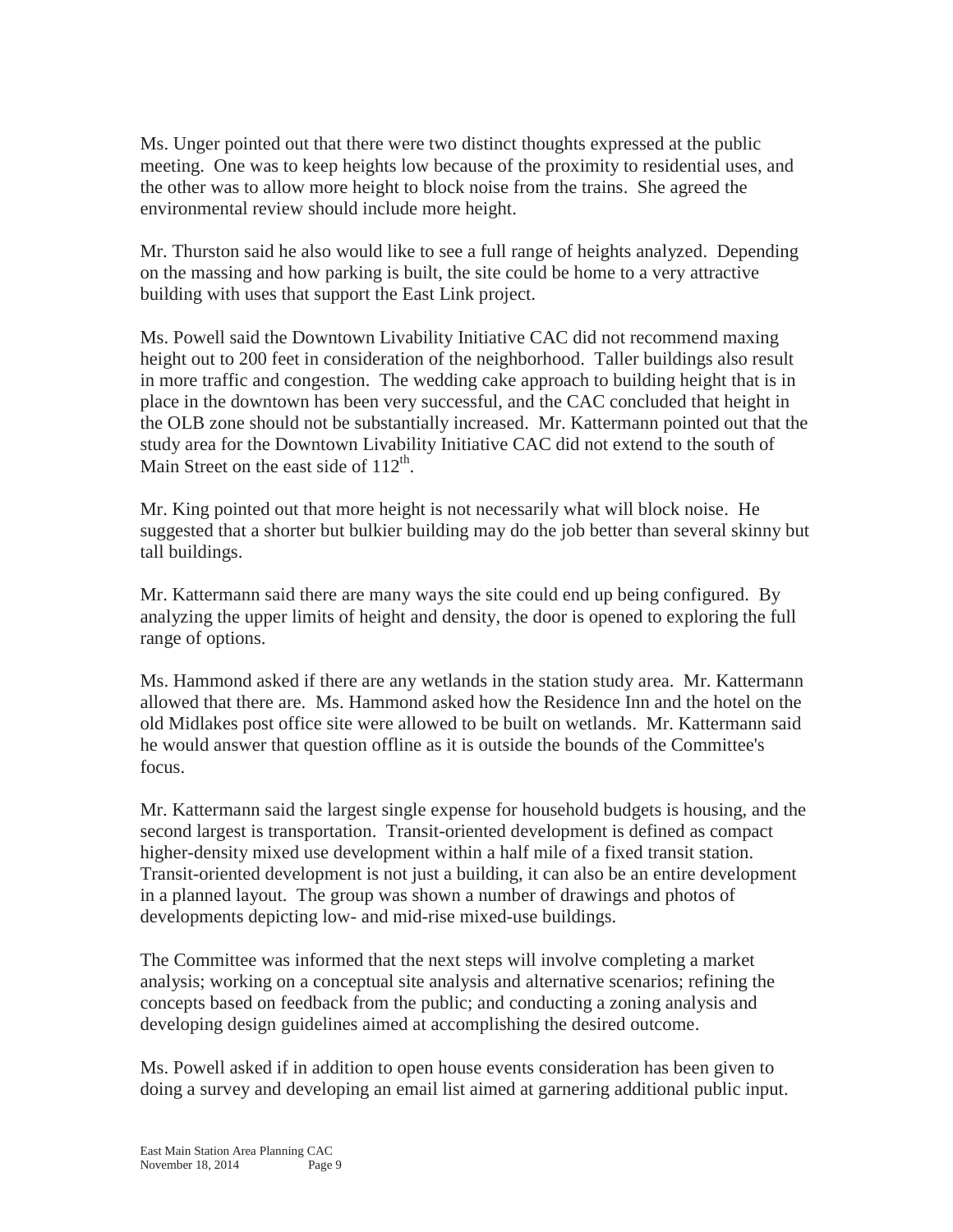Ms. Unger pointed out that there were two distinct thoughts expressed at the public meeting. One was to keep heights low because of the proximity to residential uses, and the other was to allow more height to block noise from the trains. She agreed the environmental review should include more height.

Mr. Thurston said he also would like to see a full range of heights analyzed. Depending on the massing and how parking is built, the site could be home to a very attractive building with uses that support the East Link project.

Ms. Powell said the Downtown Livability Initiative CAC did not recommend maxing height out to 200 feet in consideration of the neighborhood. Taller buildings also result in more traffic and congestion. The wedding cake approach to building height that is in place in the downtown has been very successful, and the CAC concluded that height in the OLB zone should not be substantially increased. Mr. Kattermann pointed out that the study area for the Downtown Livability Initiative CAC did not extend to the south of Main Street on the east side of  $112^{th}$ .

Mr. King pointed out that more height is not necessarily what will block noise. He suggested that a shorter but bulkier building may do the job better than several skinny but tall buildings.

Mr. Kattermann said there are many ways the site could end up being configured. By analyzing the upper limits of height and density, the door is opened to exploring the full range of options.

Ms. Hammond asked if there are any wetlands in the station study area. Mr. Kattermann allowed that there are. Ms. Hammond asked how the Residence Inn and the hotel on the old Midlakes post office site were allowed to be built on wetlands. Mr. Kattermann said he would answer that question offline as it is outside the bounds of the Committee's focus.

Mr. Kattermann said the largest single expense for household budgets is housing, and the second largest is transportation. Transit-oriented development is defined as compact higher-density mixed use development within a half mile of a fixed transit station. Transit-oriented development is not just a building, it can also be an entire development in a planned layout. The group was shown a number of drawings and photos of developments depicting low- and mid-rise mixed-use buildings.

The Committee was informed that the next steps will involve completing a market analysis; working on a conceptual site analysis and alternative scenarios; refining the concepts based on feedback from the public; and conducting a zoning analysis and developing design guidelines aimed at accomplishing the desired outcome.

Ms. Powell asked if in addition to open house events consideration has been given to doing a survey and developing an email list aimed at garnering additional public input.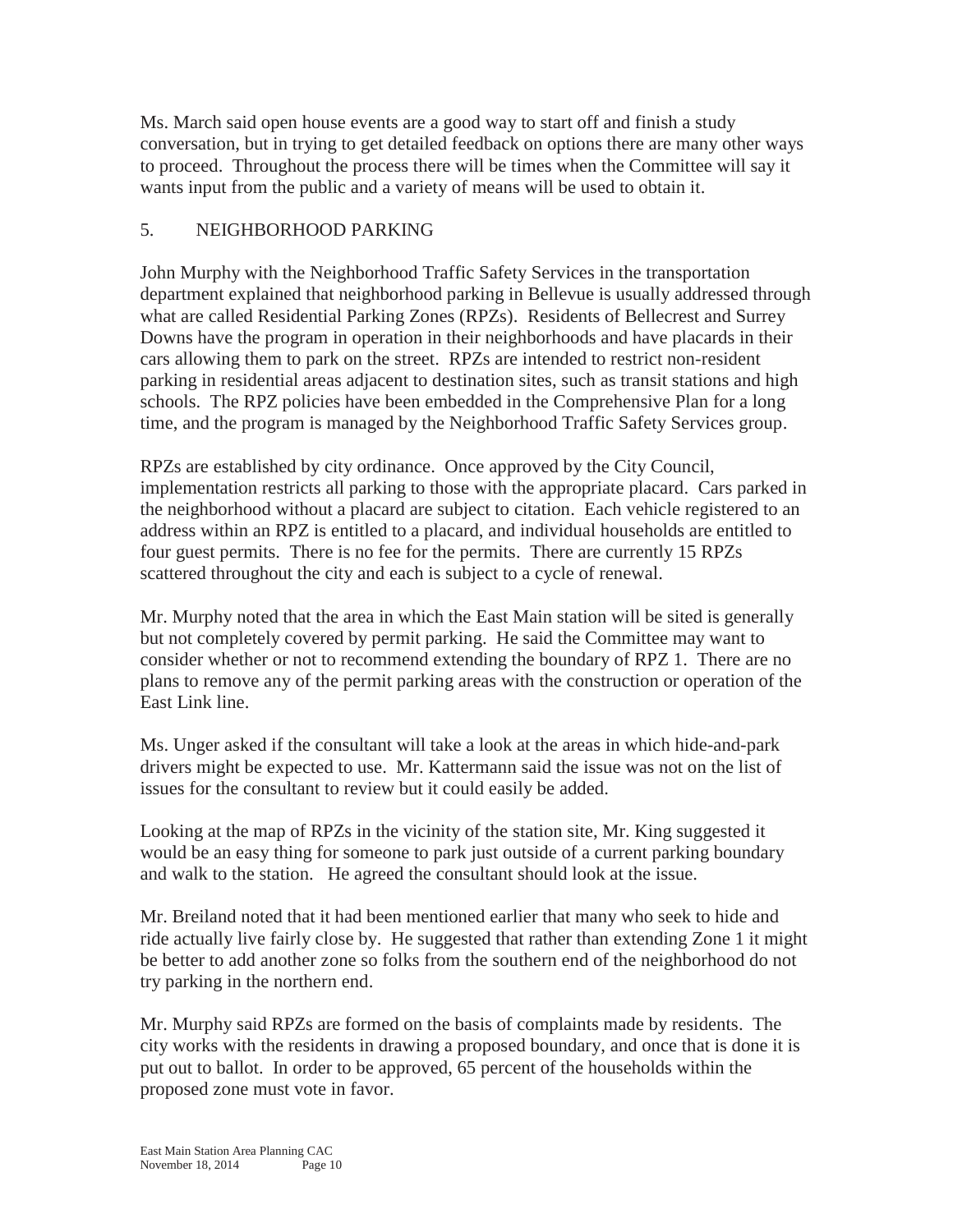Ms. March said open house events are a good way to start off and finish a study conversation, but in trying to get detailed feedback on options there are many other ways to proceed. Throughout the process there will be times when the Committee will say it wants input from the public and a variety of means will be used to obtain it.

# 5. NEIGHBORHOOD PARKING

John Murphy with the Neighborhood Traffic Safety Services in the transportation department explained that neighborhood parking in Bellevue is usually addressed through what are called Residential Parking Zones (RPZs). Residents of Bellecrest and Surrey Downs have the program in operation in their neighborhoods and have placards in their cars allowing them to park on the street. RPZs are intended to restrict non-resident parking in residential areas adjacent to destination sites, such as transit stations and high schools. The RPZ policies have been embedded in the Comprehensive Plan for a long time, and the program is managed by the Neighborhood Traffic Safety Services group.

RPZs are established by city ordinance. Once approved by the City Council, implementation restricts all parking to those with the appropriate placard. Cars parked in the neighborhood without a placard are subject to citation. Each vehicle registered to an address within an RPZ is entitled to a placard, and individual households are entitled to four guest permits. There is no fee for the permits. There are currently 15 RPZs scattered throughout the city and each is subject to a cycle of renewal.

Mr. Murphy noted that the area in which the East Main station will be sited is generally but not completely covered by permit parking. He said the Committee may want to consider whether or not to recommend extending the boundary of RPZ 1. There are no plans to remove any of the permit parking areas with the construction or operation of the East Link line.

Ms. Unger asked if the consultant will take a look at the areas in which hide-and-park drivers might be expected to use. Mr. Kattermann said the issue was not on the list of issues for the consultant to review but it could easily be added.

Looking at the map of RPZs in the vicinity of the station site, Mr. King suggested it would be an easy thing for someone to park just outside of a current parking boundary and walk to the station. He agreed the consultant should look at the issue.

Mr. Breiland noted that it had been mentioned earlier that many who seek to hide and ride actually live fairly close by. He suggested that rather than extending Zone 1 it might be better to add another zone so folks from the southern end of the neighborhood do not try parking in the northern end.

Mr. Murphy said RPZs are formed on the basis of complaints made by residents. The city works with the residents in drawing a proposed boundary, and once that is done it is put out to ballot. In order to be approved, 65 percent of the households within the proposed zone must vote in favor.